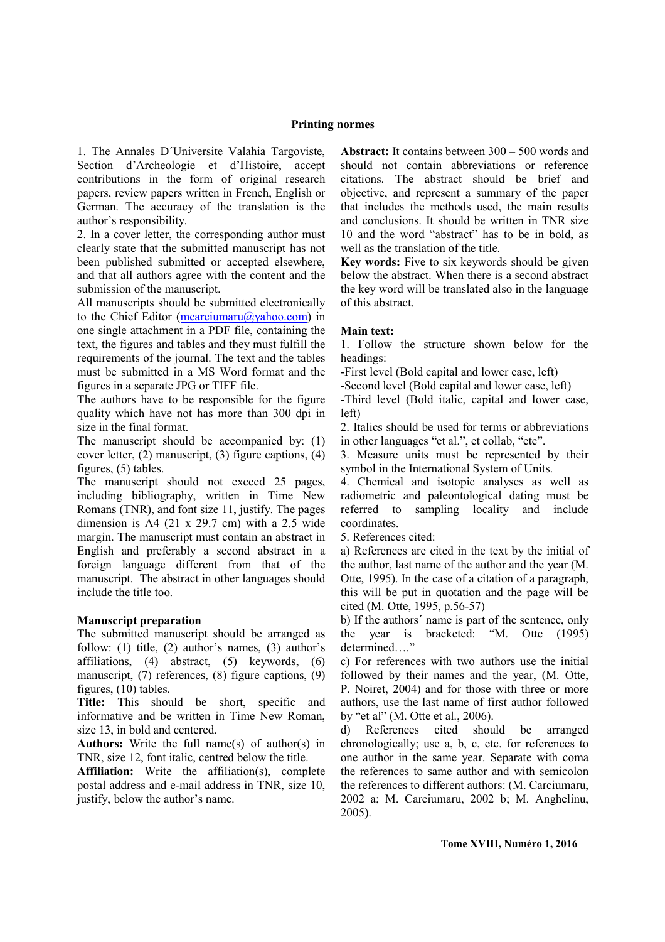#### **Printing normes**

1. The Annales D´Universite Valahia Targoviste, Section d'Archeologie et d'Histoire, accept contributions in the form of original research papers, review papers written in French, English or German. The accuracy of the translation is the author's responsibility.

2. In a cover letter, the corresponding author must clearly state that the submitted manuscript has not been published submitted or accepted elsewhere, and that all authors agree with the content and the submission of the manuscript.

All manuscripts should be submitted electronically to the Chief Editor (mcarciumaru $(a)$ yahoo.com) in one single attachment in a PDF file, containing the text, the figures and tables and they must fulfill the requirements of the journal. The text and the tables must be submitted in a MS Word format and the figures in a separate JPG or TIFF file.

The authors have to be responsible for the figure quality which have not has more than 300 dpi in size in the final format.

The manuscript should be accompanied by: (1) cover letter, (2) manuscript, (3) figure captions, (4) figures, (5) tables.

The manuscript should not exceed 25 pages, including bibliography, written in Time New Romans (TNR), and font size 11, justify. The pages dimension is A4  $(21 \times 29.7 \text{ cm})$  with a 2.5 wide margin. The manuscript must contain an abstract in English and preferably a second abstract in a foreign language different from that of the manuscript.The abstract in other languages should include the title too.

# **Manuscript preparation**

The submitted manuscript should be arranged as follow: (1) title, (2) author's names, (3) author's affiliations, (4) abstract, (5) keywords, (6) manuscript, (7) references, (8) figure captions, (9) figures, (10) tables.

**Title:** This should be short, specific and informative and be written in Time New Roman, size 13, in bold and centered.

**Authors:** Write the full name(s) of author(s) in TNR, size 12, font italic, centred below the title.

**Affiliation:** Write the affiliation(s), complete postal address and e-mail address in TNR, size 10, justify, below the author's name.

**Abstract:** It contains between 300 – 500 words and should not contain abbreviations or reference citations. The abstract should be brief and objective, and represent a summary of the paper that includes the methods used, the main results and conclusions. It should be written in TNR size 10 and the word "abstract" has to be in bold, as well as the translation of the title.

**Key words:** Five to six keywords should be given below the abstract. When there is a second abstract the key word will be translated also in the language of this abstract.

#### **Main text:**

1. Follow the structure shown below for the headings:

-First level (Bold capital and lower case, left)

-Second level (Bold capital and lower case, left)

-Third level (Bold italic, capital and lower case, left)

2. Italics should be used for terms or abbreviations in other languages "et al.", et collab, "etc".

3. Measure units must be represented by their symbol in the International System of Units.

4. Chemical and isotopic analyses as well as radiometric and paleontological dating must be referred to sampling locality and include coordinates.

5. References cited:

a) References are cited in the text by the initial of the author, last name of the author and the year (M. Otte, 1995). In the case of a citation of a paragraph, this will be put in quotation and the page will be cited (M. Otte, 1995, p.56-57)

b) If the authors´ name is part of the sentence, only the year is bracketed: "M. Otte (1995) determined...."

c) For references with two authors use the initial followed by their names and the year, (M. Otte, P. Noiret, 2004) and for those with three or more authors, use the last name of first author followed by "et al" (M. Otte et al., 2006).

d) References cited should be arranged chronologically; use a, b, c, etc. for references to one author in the same year. Separate with coma the references to same author and with semicolon the references to different authors: (M. Carciumaru, 2002 a; M. Carciumaru, 2002 b; M. Anghelinu, 2005).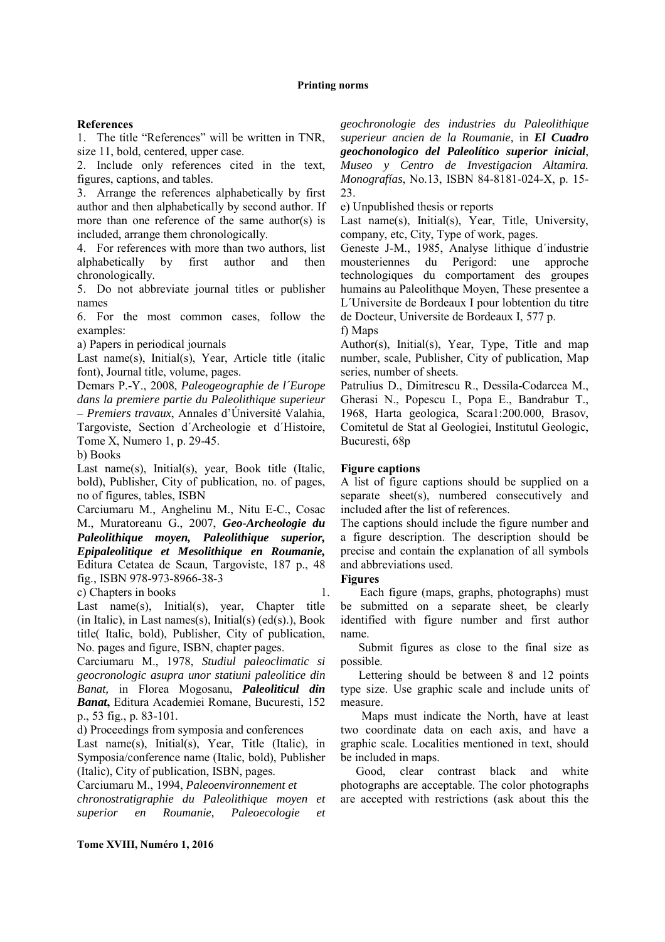#### **References**

1. The title "References" will be written in TNR, size 11, bold, centered, upper case.

2. Include only references cited in the text, figures, captions, and tables.

3. Arrange the references alphabetically by first author and then alphabetically by second author. If more than one reference of the same author(s) is included, arrange them chronologically.

4. For references with more than two authors, list alphabetically by first author and then chronologically.

5. Do not abbreviate journal titles or publisher names

6. For the most common cases, follow the examples:

a) Papers in periodical journals

Last name(s), Initial(s), Year, Article title (italic font), Journal title, volume, pages.

Demars P.-Y., 2008, *Paleogeographie de l´Europe dans la premiere partie du Paleolithique superieur – Premiers travaux*, Annales d'Úniversité Valahia, Targoviste, Section d´Archeologie et d´Histoire, Tome X, Numero 1, p. 29-45.

b) Books

Last name(s), Initial(s), year, Book title (Italic, bold), Publisher, City of publication, no. of pages, no of figures, tables, ISBN

Carciumaru M., Anghelinu M., Nitu E-C., Cosac M., Muratoreanu G., 2007, *Geo-Archeologie du Paleolithique moyen, Paleolithique superior, Epipaleolitique et Mesolithique en Roumanie,* Editura Cetatea de Scaun, Targoviste, 187 p., 48 fig., ISBN 978-973-8966-38-3

c) Chapters in books

Last name(s), Initial(s), year, Chapter title (in Italic), in Last names(s), Initial(s)  $(ed(s))$ , Book title( Italic, bold), Publisher, City of publication, No. pages and figure, ISBN, chapter pages.

Carciumaru M., 1978, *Studiul paleoclimatic si geocronologic asupra unor statiuni paleolitice din Banat,* in Florea Mogosanu, *Paleoliticul din Banat***,** Editura Academiei Romane, Bucuresti, 152 p., 53 fig., p. 83-101.

d) Proceedings from symposia and conferences

Last name(s), Initial(s), Year, Title (Italic), in Symposia/conference name (Italic, bold), Publisher (Italic), City of publication, ISBN, pages.

Carciumaru M., 1994, *Paleoenvironnement et chronostratigraphie du Paleolithique moyen et superior en Roumanie, Paleoecologie et* 

*geochronologie des industries du Paleolithique superieur ancien de la Roumanie,* in *El Cuadro geochonologico del Paleolítico superior inicial*, *Museo y Centro de Investigacion Altamira. Monografías*, No.13, ISBN 84-8181-024-X, p. 15- 23.

e) Unpublished thesis or reports

Last name(s), Initial(s), Year, Title, University, company, etc, City, Type of work, pages.

Geneste J-M., 1985, Analyse lithique d´industrie mousteriennes du Perigord: une approche technologiques du comportament des groupes humains au Paleolithque Moyen. These presentee a L´Universite de Bordeaux I pour lobtention du titre de Docteur, Universite de Bordeaux I, 577 p.

f) Maps

Author(s), Initial(s), Year, Type, Title and map number, scale, Publisher, City of publication, Map series, number of sheets.

Patrulius D., Dimitrescu R., Dessila-Codarcea M., Gherasi N., Popescu I., Popa E., Bandrabur T., 1968, Harta geologica, Scara1:200.000, Brasov, Comitetul de Stat al Geologiei, Institutul Geologic, Bucuresti, 68p

# **Figure captions**

A list of figure captions should be supplied on a separate sheet(s), numbered consecutively and included after the list of references.

The captions should include the figure number and a figure description. The description should be precise and contain the explanation of all symbols and abbreviations used.

# **Figures**

1. Each figure (maps, graphs, photographs) must be submitted on a separate sheet, be clearly identified with figure number and first author name.

 Submit figures as close to the final size as possible.

 Lettering should be between 8 and 12 points type size. Use graphic scale and include units of measure.

 Maps must indicate the North, have at least two coordinate data on each axis, and have a graphic scale. Localities mentioned in text, should be included in maps.

Good, clear contrast black and white photographs are acceptable. The color photographs are accepted with restrictions (ask about this the

**Tome XVIII, Numéro 1, 2016**